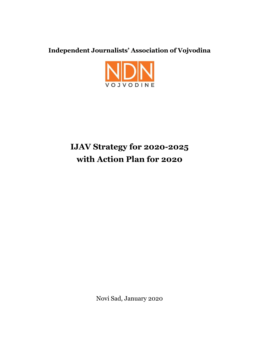**Independent Journalists' Association of Vojvodina**



# **IJAV Strategy for 2020-2025 with Action Plan for 2020**

Novi Sad, January 2020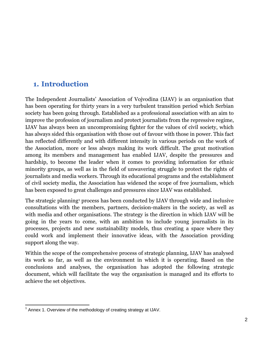### **1. Introduction**

The Independent Journalists' Association of Vojvodina (IJAV) is an organisation that has been operating for thirty years in a very turbulent transition period which Serbian society has been going through. Established as a professional association with an aim to improve the profession of journalism and protect journalists from the repressive regime, IJAV has always been an uncompromising fighter for the values of civil society, which has always sided this organisation with those out of favour with those in power. This fact has reflected differently and with different intensity in various periods on the work of the Association, more or less always making its work difficult. The great motivation among its members and management has enabled IJAV, despite the pressures and hardship, to become the leader when it comes to providing information for ethnic minority groups, as well as in the field of unwavering struggle to protect the rights of journalists and media workers. Through its educational programs and the establishment of civil society media, the Association has widened the scope of free journalism, which has been exposed to great challenges and pressures since IJAV was established.

The strategic planning<sup>1</sup> process has been conducted by IJAV through wide and inclusive consultations with the members, partners, decision-makers in the society, as well as with media and other organisations. The strategy is the direction in which IJAV will be going in the years to come, with an ambition to include young journalists in its processes, projects and new sustainability models, thus creating a space where they could work and implement their innovative ideas, with the Association providing support along the way.

Within the scope of the comprehensive process of strategic planning, IJAV has analysed its work so far, as well as the environment in which it is operating. Based on the conclusions and analyses, the organisation has adopted the following strategic document, which will facilitate the way the organisation is managed and its efforts to achieve the set objectives.

 1 Annex 1. Overview of the methodology of creating strategy at IJAV.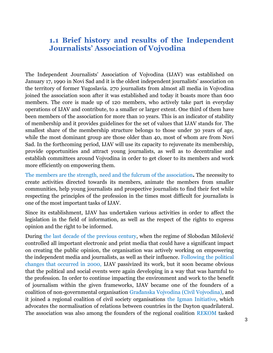### **1.1 Brief history and results of the Independent Journalists' Association of Vojvodina**

The Independent Journalists' Association of Vojvodina (IJAV) was established on January 17, 1990 in Novi Sad and it is the oldest independent journalists' association on the territory of former Yugoslavia. 270 journalists from almost all media in Vojvodina joined the association soon after it was established and today it boasts more than 600 members. The core is made up of 120 members, who actively take part in everyday operations of IJAV and contribute, to a smaller or larger extent. One third of them have been members of the association for more than 10 years. This is an indicator of stability of membership and it provides guidelines for the set of values that IJAV stands for. The smallest share of the membership structure belongs to those under 30 years of age, while the most dominant group are those older than 40, most of whom are from Novi Sad. In the forthcoming period, IJAV will use its capacity to rejuvenate its membership, provide opportunities and attract young journalists, as well as to decentralise and establish committees around Vojvodina in order to get closer to its members and work more efficiently on empowering them.

The members are the strength, need and the fulcrum of the association*.* The necessity to create activities directed towards its members, animate the members from smaller communities, help young journalists and prospective journalists to find their feet while respecting the principles of the profession in the times most difficult for journalists is one of the most important tasks of IJAV.

Since its establishment, IJAV has undertaken various activities in order to affect the legislation in the field of information, as well as the respect of the rights to express opinion and the right to be informed.

During the last decade of the previous century, when the regime of Slobodan Milošević controlled all important electronic and print media that could have a significant impact on creating the public opinion, the organisation was actively working on empowering the independent media and journalists, as well as their influence. Following the political changes that occurred in 2000, IJAV passivized its work, but it soon became obvious that the political and social events were again developing in a way that was harmful to the profession. In order to continue impacting the environment and work to the benefit of journalism within the given frameworks, IJAV became one of the founders of a coalition of non-governmental organisation Građanska Vojvodina (Civil Vojvodina)*,* and it joined a regional coalition of civil society organisations the Igman Initiative, which advocates the normalisation of relations between countries in the Dayton quadrilateral. The association was also among the founders of the regional coalition REKOM tasked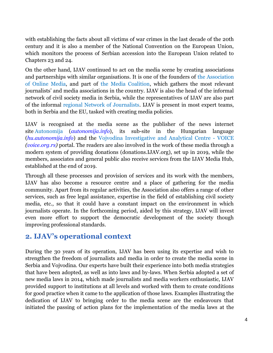with establishing the facts about all victims of war crimes in the last decade of the 20th century and it is also a member of the National Convention on the European Union, which monitors the process of Serbian accession into the European Union related to Chapters 23 and 24.

On the other hand, IJAV continued to act on the media scene by creating associations and partnerships with similar organisations. It is one of the founders of the Association of Online Media, and part of the Media Coalition, which gathers the most relevant journalists' and media associations in the country. IJAV is also the head of the informal network of civil society media in Serbia, while the representatives of IJAV are also part of the informal regional Network of Journalists. IJAV is present in most expert teams, both in Serbia and the EU, tasked with creating media policies.

IJAV is recognised at the media scene as the publisher of the news internet site [Autonomija](https://sh.m.wikipedia.org/w/index.php?title=Autonomija_info&action=edit&redlink=1) (*autonomija.info*), its sub-site in the Hungarian language (*hu.autonomija.info*) and the [Vojvodina Investigative and Analytical Centre -](https://sh.m.wikipedia.org/wiki/Vojvo%C4%91anski_istra%C5%BEiva%C4%8Dko-analiti%C4%8Dki_centar) VOIC[E](https://sh.m.wikipedia.org/wiki/Vojvo%C4%91anski_istra%C5%BEiva%C4%8Dko-analiti%C4%8Dki_centar) *[\(voice.org.rs\)](https://sh.m.wikipedia.org/wiki/Vojvo%C4%91anski_istra%C5%BEiva%C4%8Dko-analiti%C4%8Dki_centar)* portal. The readers are also involved in the work of these media through a modern system of providing donations (donations.IJAV.org), set up in 2019, while the members, associates and general public also receive services from the IJAV Media Hub, established at the end of 2019.

Through all these processes and provision of services and its work with the members, IJAV has also become a resource centre and a place of gathering for the media community. Apart from its regular activities, the Association also offers a range of other services, such as free legal assistance, expertise in the field of establishing civil society media, etc., so that it could have a constant impact on the environment in which journalists operate. In the forthcoming period, aided by this strategy, IJAV will invest even more effort to support the democratic development of the society though improving professional standards.

### **2. IJAV's operational context**

During the 30 years of its operation, IJAV has been using its expertise and wish to strengthen the freedom of journalists and media in order to create the media scene in Serbia and Vojvodina. Our experts have built their experience into both media strategies that have been adopted, as well as into laws and by-laws. When Serbia adopted a set of new media laws in 2014, which made journalists and media workers enthusiastic, IJAV provided support to institutions at all levels and worked with them to create conditions for good practice when it came to the application of those laws. Examples illustrating the dedication of IJAV to bringing order to the media scene are the endeavours that initiated the passing of action plans for the implementation of the media laws at the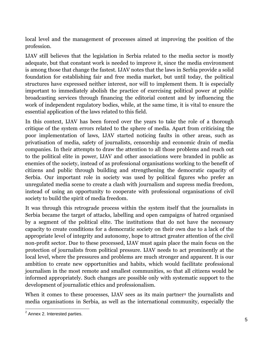local level and the management of processes aimed at improving the position of the profession.

IJAV still believes that the legislation in Serbia related to the media sector is mostly adequate, but that constant work is needed to improve it, since the media environment is among those that change the fastest. IJAV notes that the laws in Serbia provide a solid foundation for establishing fair and free media market, but until today, the political structures have expressed neither interest, nor will to implement them. It is especially important to immediately abolish the practice of exercising political power at public broadcasting services through financing the editorial content and by influencing the work of independent regulatory bodies, while, at the same time, it is vital to ensure the essential application of the laws related to this field.

In this context, IJAV has been forced over the years to take the role of a thorough critique of the system errors related to the sphere of media. Apart from criticising the poor implementation of laws, IJAV started noticing faults in other areas, such as privatisation of media, safety of journalists, censorship and economic drain of media companies. In their attempts to draw the attention to all those problems and reach out to the political elite in power, IJAV and other associations were branded in public as enemies of the society, instead of as professional organisations working to the benefit of citizens and public through building and strengthening the democratic capacity of Serbia. Our important role in society was used by political figures who prefer an unregulated media scene to create a clash with journalism and supress media freedom, instead of using an opportunity to cooperate with professional organisations of civil society to build the spirit of media freedom.

It was through this retrograde process within the system itself that the journalists in Serbia became the target of attacks, labelling and open campaigns of hatred organised by a segment of the political elite. The institutions that do not have the necessary capacity to create conditions for a democratic society on their own due to a lack of the appropriate level of integrity and autonomy, hope to attract greater attention of the civil non-profit sector. Due to these processed, IJAV must again place the main focus on the protection of journalists from political pressure. IJAV needs to act prominently at the local level, where the pressures and problems are much stronger and apparent. It is our ambition to create new opportunities and habits, which would facilitate professional journalism in the most remote and smallest communities, so that all citizens would be informed appropriately. Such changes are possible only with systematic support to the development of journalistic ethics and professionalism.

When it comes to these processes, IJAV sees as its main partner<sup>2</sup> the journalists and media organisations in Serbia, as well as the international community, especially the

  $2$  Annex 2. Interested parties.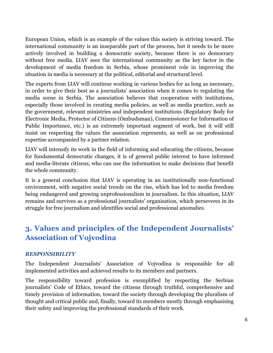European Union, which is an example of the values this society is striving toward. The international community is an inseparable part of the process, but it needs to be more actively involved in building a democratic society, because there is no democracy without free media. IJAV sees the international community as the key factor in the development of media freedom in Serbia, whose prominent role in improving the situation in media is necessary at the political, editorial and structural level.

The experts from IJAV will continue working in various bodies for as long as necessary, in order to give their best as a journalists' association when it comes to regulating the media scene in Serbia. The association believes that cooperation with institutions, especially those involved in creating media policies, as well as media practice, such as the government, relevant ministries and independent institutions (Regulatory Body for Electronic Media, Protector of Citizens (Ombudsman), Commissioner for Information of Public Importance, etc.) is an extremely important segment of work, but it will still insist on respecting the values the association represents, as well as on professional expertise accompanied by a partner relation.

IJAV will intensify its work in the field of informing and educating the citizens, because for fundamental democratic changes, it is of general public interest to have informed and media-literate citizens, who can use the information to make decisions that benefit the whole community.

It is a general conclusion that IJAV is operating in an institutionally non-functional environment, with negative social trends on the rise, which has led to media freedom being endangered and growing unprofessionalism in journalism. In this situation, IJAV remains and survives as a professional journalists' organisation, which perseveres in its struggle for free journalism and identifies social and professional anomalies.

# **3. Values and principles of the Independent Journalists' Association of Vojvodina**

#### *RESPONSIBILITY*

The Independent Journalists' Association of Vojvodina is responsible for all implemented activities and achieved results to its members and partners.

The responsibility toward profession is exemplified by respecting the Serbian journalists' Code of Ethics, toward the citizens through truthful, comprehensive and timely provision of information, toward the society through developing the pluralism of thought and critical public and, finally, toward its members mostly through emphasising their safety and improving the professional standards of their work.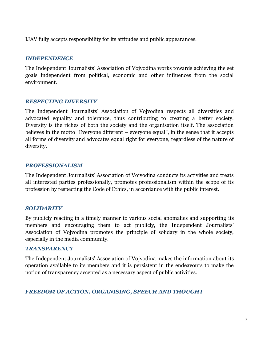IJAV fully accepts responsibility for its attitudes and public appearances.

#### *INDEPENDENCE*

The Independent Journalists' Association of Vojvodina works towards achieving the set goals independent from political, economic and other influences from the social environment.

### *RESPECTING DIVERSITY*

The Independent Journalists' Association of Vojvodina respects all diversities and advocated equality and tolerance, thus contributing to creating a better society. Diversity is the riches of both the society and the organisation itself. The association believes in the motto "Everyone different – everyone equal", in the sense that it accepts all forms of diversity and advocates equal right for everyone, regardless of the nature of diversity.

#### *PROFESSIONALISM*

The Independent Journalists' Association of Vojvodina conducts its activities and treats all interested parties professionally, promotes professionalism within the scope of its profession by respecting the Code of Ethics, in accordance with the public interest.

### *SOLIDARITY*

By publicly reacting in a timely manner to various social anomalies and supporting its members and encouraging them to act publicly, the Independent Journalists' Association of Vojvodina promotes the principle of solidary in the whole society, especially in the media community.

#### *TRANSPARENCY*

The Independent Journalists' Association of Vojvodina makes the information about its operation available to its members and it is persistent in the endeavours to make the notion of transparency accepted as a necessary aspect of public activities.

### *FREEDOM OF ACTION, ORGANISING, SPEECH AND THOUGHT*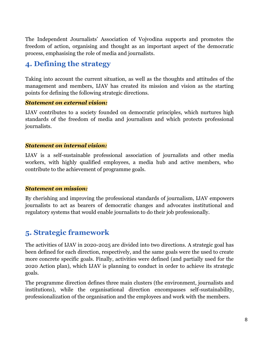The Independent Journalists' Association of Vojvodina supports and promotes the freedom of action, organising and thought as an important aspect of the democratic process, emphasising the role of media and journalists.

### **4. Defining the strategy**

Taking into account the current situation, as well as the thoughts and attitudes of the management and members, IJAV has created its mission and vision as the starting points for defining the following strategic directions.

#### *Statement on external vision:*

IJAV contributes to a society founded on democratic principles, which nurtures high standards of the freedom of media and journalism and which protects professional journalists.

#### *Statement on internal vision:*

IJAV is a self-sustainable professional association of journalists and other media workers, with highly qualified employees, a media hub and active members, who contribute to the achievement of programme goals.

### *Statement on mission:*

By cherishing and improving the professional standards of journalism, IJAV empowers journalists to act as bearers of democratic changes and advocates institutional and regulatory systems that would enable journalists to do their job professionally.

### **5. Strategic framework**

The activities of IJAV in 2020-2025 are divided into two directions. A strategic goal has been defined for each direction, respectively, and the same goals were the used to create more concrete specific goals. Finally, activities were defined (and partially used for the 2020 Action plan), which IJAV is planning to conduct in order to achieve its strategic goals.

The programme direction defines three main clusters (the environment, journalists and institutions), while the organisational direction encompasses self-sustainability, professionalization of the organisation and the employees and work with the members.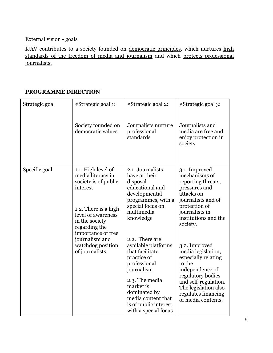External vision - goals

IJAV contributes to a society founded on democratic principles, which nurtures high standards of the freedom of media and journalism and which protects professional journalists.

### **PROGRAMME DIRECTION**

| Strategic goal | #Strategic goal 1:                                                                                                                                                                 | #Strategic goal 2:                                                                                                                                                                                                           | #Strategic goal 3:                                                                                                                                                                                        |
|----------------|------------------------------------------------------------------------------------------------------------------------------------------------------------------------------------|------------------------------------------------------------------------------------------------------------------------------------------------------------------------------------------------------------------------------|-----------------------------------------------------------------------------------------------------------------------------------------------------------------------------------------------------------|
|                | Society founded on<br>democratic values                                                                                                                                            | Journalists nurture<br>professional<br>standards                                                                                                                                                                             | Journalists and<br>media are free and<br>enjoy protection in<br>society                                                                                                                                   |
| Specific goal  | 1.1. High level of<br>media literacy in<br>society is of public<br>interest<br>1.2. There is a high<br>level of awareness<br>in the society<br>regarding the<br>importance of free | 2.1. Journalists<br>have at their<br>disposal<br>educational and<br>developmental<br>programmes, with a<br>special focus on<br>multimedia<br>knowledge                                                                       | 3.1. Improved<br>mechanisms of<br>reporting threats,<br>pressures and<br>attacks on<br>journalists and of<br>protection of<br>journalists in<br>institutions and the<br>society.                          |
|                | journalism and<br>watchdog position<br>of journalists                                                                                                                              | 2.2. There are<br>available platforms<br>that facilitate<br>practice of<br>professional<br>journalism<br>2.3. The media<br>market is<br>dominated by<br>media content that<br>is of public interest,<br>with a special focus | 3.2. Improved<br>media legislation,<br>especially relating<br>to the<br>independence of<br>regulatory bodies<br>and self-regulation.<br>The legislation also<br>regulates financing<br>of media contents. |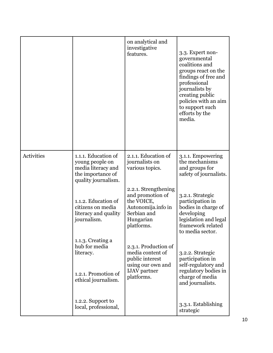|            |                                                                                                          | on analytical and<br>investigative<br>features.                                                                        | 3.3. Expert non-<br>governmental<br>coalitions and<br>groups react on the<br>findings of free and<br>professional<br>journalists by<br>creating public<br>policies with an aim<br>to support such<br>efforts by the<br>media. |
|------------|----------------------------------------------------------------------------------------------------------|------------------------------------------------------------------------------------------------------------------------|-------------------------------------------------------------------------------------------------------------------------------------------------------------------------------------------------------------------------------|
| Activities | 1.1.1. Education of<br>young people on<br>media literacy and<br>the importance of<br>quality journalism. | 2.1.1. Education of<br>journalists on<br>various topics.                                                               | 3.1.1. Empowering<br>the mechanisms<br>and groups for<br>safety of journalists.                                                                                                                                               |
|            | 1.1.2. Education of<br>citizens on media<br>literacy and quality<br>journalism.                          | 2.2.1. Strengthening<br>and promotion of<br>the VOICE,<br>Autonomija.info in<br>Serbian and<br>Hungarian<br>platforms. | 3.2.1. Strategic<br>participation in<br>bodies in charge of<br>developing<br>legislation and legal<br>framework related<br>to media sector.                                                                                   |
|            | 1.1.3. Creating a<br>hub for media<br>literacy.<br>1.2.1. Promotion of<br>ethical journalism.            | 2.3.1. Production of<br>media content of<br>public interest<br>using our own and<br><b>IJAV</b> partner<br>platforms.  | 3.2.2. Strategic<br>participation in<br>self-regulatory and<br>regulatory bodies in<br>charge of media<br>and journalists.                                                                                                    |
|            | 1.2.2. Support to<br>local, professional,                                                                |                                                                                                                        | 3.3.1. Establishing<br>strategic                                                                                                                                                                                              |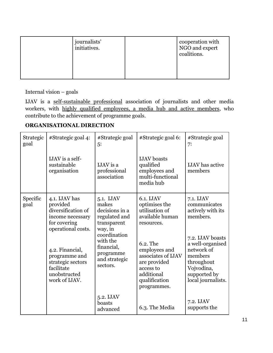| journalists'<br>initiatives. | cooperation with<br>NGO and expert<br>coalitions. |
|------------------------------|---------------------------------------------------|
|                              |                                                   |

Internal vision – goals

IJAV is a self-sustainable professional association of journalists and other media workers, with highly qualified employees, a media hub and active members, who contribute to the achievement of programme goals.

### **ORGANISATIONAL DIRECTION**

| Strategic<br>goal | #Strategic goal 4:                                                                                        | #Strategic goal<br>5:                                                            | #Strategic goal 6:                                                                                                         | #Strategic goal<br>7:                                                                                                           |
|-------------------|-----------------------------------------------------------------------------------------------------------|----------------------------------------------------------------------------------|----------------------------------------------------------------------------------------------------------------------------|---------------------------------------------------------------------------------------------------------------------------------|
|                   | IJAV is a self-<br>sustainable<br>organisation                                                            | IJAV is a<br>professional<br>association                                         | <b>IJAV</b> boasts<br>qualified<br>employees and<br>multi-functional<br>media hub                                          | <b>IJAV</b> has active<br>members                                                                                               |
| Specific<br>goal  | 4.1. IJAV has<br>provided<br>diversification of<br>income necessary<br>for covering<br>operational costs. | 5.1. IJAV<br>makes<br>decisions in a<br>regulated and<br>transparent<br>way, in  | 6.1. IJAV<br>optimises the<br>utilisation of<br>available human<br>resources.                                              | 7.1. IJAV<br>communicates<br>actively with its<br>members.                                                                      |
|                   | 4.2. Financial,<br>programme and<br>strategic sectors<br>facilitate<br>unobstructed<br>work of IJAV.      | coordination<br>with the<br>financial,<br>programme<br>and strategic<br>sectors. | 6.2. The<br>employees and<br>associates of IJAV<br>are provided<br>access to<br>additional<br>qualification<br>programmes. | 7.2. IJAV boasts<br>a well-organised<br>network of<br>members<br>throughout<br>Vojvodina,<br>supported by<br>local journalists. |
|                   |                                                                                                           | 5.2. IJAV<br>boasts<br>advanced                                                  | 6.3. The Media                                                                                                             | 7.2. IJAV<br>supports the                                                                                                       |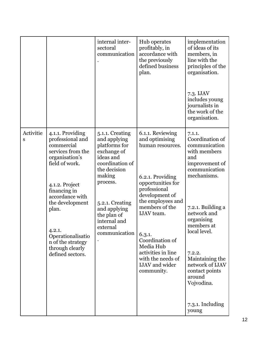|                |                                                                                                                                                                                                                                                                                         | internal inter-<br>sectoral<br>communication                                                                                                                                                                                         | Hub operates<br>profitably, in<br>accordance with<br>the previously<br>defined business<br>plan.                                                                                                                                                                                                                          | implementation<br>of ideas of its<br>members, in<br>line with the<br>principles of the<br>organisation.<br>7.3. IJAV<br>includes young<br>journalists in<br>the work of the<br>organisation.                                                                                                                                 |
|----------------|-----------------------------------------------------------------------------------------------------------------------------------------------------------------------------------------------------------------------------------------------------------------------------------------|--------------------------------------------------------------------------------------------------------------------------------------------------------------------------------------------------------------------------------------|---------------------------------------------------------------------------------------------------------------------------------------------------------------------------------------------------------------------------------------------------------------------------------------------------------------------------|------------------------------------------------------------------------------------------------------------------------------------------------------------------------------------------------------------------------------------------------------------------------------------------------------------------------------|
| Activitie<br>S | 4.1.1. Providing<br>professional and<br>commercial<br>services from the<br>organisation's<br>field of work.<br>4.1.2. Project<br>financing in<br>accordance with<br>the development<br>plan.<br>4.2.1.<br>Operationalisatio<br>n of the strategy<br>through clearly<br>defined sectors. | 5.1.1. Creating<br>and applying<br>platforms for<br>exchange of<br>ideas and<br>coordination of<br>the decision<br>making<br>process.<br>5.2.1. Creating<br>and applying<br>the plan of<br>internal and<br>external<br>communication | 6.1.1. Reviewing<br>and optimising<br>human resources.<br>6.2.1. Providing<br>opportunities for<br>professional<br>development of<br>the employees and<br>members of the<br><b>IJAV</b> team.<br>6.3.1.<br>Coordination of<br>Media Hub<br>activities in line<br>with the needs of<br><b>IJAV</b> and wider<br>community. | 7.1.1.<br>Coordination of<br>communication<br>with members<br>and<br>improvement of<br>communication<br>mechanisms.<br>7.2.1. Building a<br>network and<br>organising<br>members at<br>local level.<br>7.2.2.<br>Maintaining the<br>network of IJAV<br>contact points<br>around<br>Vojvodina.<br>$7.3.1.$ Including<br>young |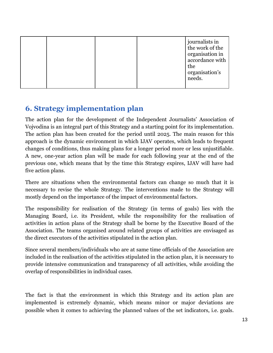| journalists in<br>the work of the<br>organisation in<br>accordance with<br>the<br>organisation's<br>needs. |
|------------------------------------------------------------------------------------------------------------|
|------------------------------------------------------------------------------------------------------------|

### **6. Strategy implementation plan**

The action plan for the development of the Independent Journalists' Association of Vojvodina is an integral part of this Strategy and a starting point for its implementation. The action plan has been created for the period until 2025. The main reason for this approach is the dynamic environment in which IJAV operates, which leads to frequent changes of conditions, thus making plans for a longer period more or less unjustifiable. A new, one-year action plan will be made for each following year at the end of the previous one, which means that by the time this Strategy expires, IJAV will have had five action plans.

There are situations when the environmental factors can change so much that it is necessary to revise the whole Strategy. The interventions made to the Strategy will mostly depend on the importance of the impact of environmental factors.

The responsibility for realisation of the Strategy (in terms of goals) lies with the Managing Board, i.e. its President, while the responsibility for the realisation of activities in action plans of the Strategy shall be borne by the Executive Board of the Association. The teams organised around related groups of activities are envisaged as the direct executors of the activities stipulated in the action plan.

Since several members/individuals who are at same time officials of the Association are included in the realisation of the activities stipulated in the action plan, it is necessary to provide intensive communication and transparency of all activities, while avoiding the overlap of responsibilities in individual cases.

The fact is that the environment in which this Strategy and its action plan are implemented is extremely dynamic, which means minor or major deviations are possible when it comes to achieving the planned values of the set indicators, i.e. goals.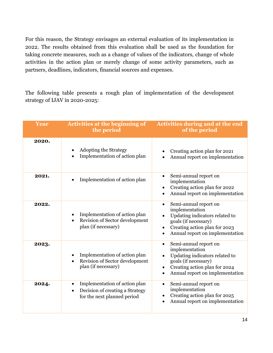For this reason, the Strategy envisages an external evaluation of its implementation in 2022. The results obtained from this evaluation shall be used as the foundation for taking concrete measures, such as a change of values of the indicators, change of whole activities in the action plan or merely change of some activity parameters, such as partners, deadlines, indicators, financial sources and expenses.

The following table presents a rough plan of implementation of the development strategy of IJAV in 2020-2025:

| Year  | <b>Activities at the beginning of</b><br>the period                                                                       | <b>Activities during and at the end</b><br>of the period                                                                                                                           |
|-------|---------------------------------------------------------------------------------------------------------------------------|------------------------------------------------------------------------------------------------------------------------------------------------------------------------------------|
| 2020. | <b>Adopting the Strategy</b><br>Implementation of action plan                                                             | Creating action plan for 2021<br>Annual report on implementation                                                                                                                   |
| 2021. | Implementation of action plan                                                                                             | Semi-annual report on<br>implementation<br>Creating action plan for 2022<br>Annual report on implementation                                                                        |
| 2022. | Implementation of action plan<br>Revision of Sector development<br>plan (if necessary)                                    | Semi-annual report on<br>$\bullet$<br>implementation<br>Updating indicators related to<br>goals (if necessary)<br>Creating action plan for 2023<br>Annual report on implementation |
| 2023. | Implementation of action plan<br>Revision of Sector development<br>plan (if necessary)                                    | Semi-annual report on<br>$\bullet$<br>implementation<br>Updating indicators related to<br>goals (if necessary)<br>Creating action plan for 2024<br>Annual report on implementation |
| 2024. | Implementation of action plan<br>$\bullet$<br>Decision of creating a Strategy<br>$\bullet$<br>for the next planned period | Semi-annual report on<br>$\bullet$<br>implementation<br>Creating action plan for 2025<br>Annual report on implementation                                                           |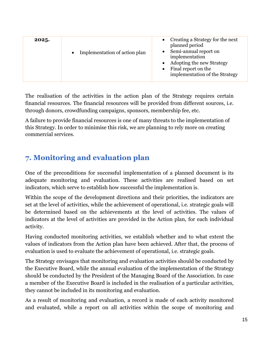| planned period<br>Semi-annual report on<br>Implementation of action plan<br>implementation<br>Adopting the new Strategy<br>Final report on the<br>implementation of the Strategy | 2025. | Creating a Strategy for the next |
|----------------------------------------------------------------------------------------------------------------------------------------------------------------------------------|-------|----------------------------------|
|----------------------------------------------------------------------------------------------------------------------------------------------------------------------------------|-------|----------------------------------|

The realisation of the activities in the action plan of the Strategy requires certain financial resources. The financial resources will be provided from different sources, i.e. through donors, crowdfunding campaigns, sponsors, membership fee, etc.

A failure to provide financial resources is one of many threats to the implementation of this Strategy. In order to minimise this risk, we are planning to rely more on creating commercial services.

## **7. Monitoring and evaluation plan**

One of the preconditions for successful implementation of a planned document is its adequate monitoring and evaluation. These activities are realised based on set indicators, which serve to establish how successful the implementation is.

Within the scope of the development directions and their priorities, the indicators are set at the level of activities, while the achievement of operational, i.e. strategic goals will be determined based on the achievements at the level of activities. The values of indicators at the level of activities are provided in the Action plan, for each individual activity.

Having conducted monitoring activities, we establish whether and to what extent the values of indicators from the Action plan have been achieved. After that, the process of evaluation is used to evaluate the achievement of operational, i.e. strategic goals.

The Strategy envisages that monitoring and evaluation activities should be conducted by the Executive Board, while the annual evaluation of the implementation of the Strategy should be conducted by the President of the Managing Board of the Association. In case a member of the Executive Board is included in the realisation of a particular activities, they cannot be included in its monitoring and evaluation.

As a result of monitoring and evaluation, a record is made of each activity monitored and evaluated, while a report on all activities within the scope of monitoring and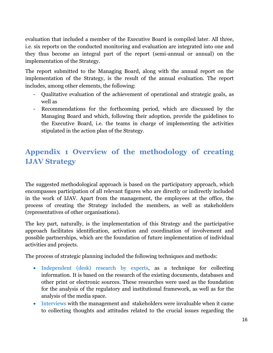evaluation that included a member of the Executive Board is compiled later. All three, i.e. six reports on the conducted monitoring and evaluation are integrated into one and they thus become an integral part of the report (semi-annual or annual) on the implementation of the Strategy.

The report submitted to the Managing Board, along with the annual report on the implementation of the Strategy, is the result of the annual evaluation. The report includes, among other elements, the following:

- Qualitative evaluation of the achievement of operational and strategic goals, as well as
- Recommendations for the forthcoming period, which are discussed by the Managing Board and which, following their adoption, provide the guidelines to the Executive Board, i.e. the teams in charge of implementing the activities stipulated in the action plan of the Strategy.

# **Appendix 1 Overview of the methodology of creating IJAV Strategy**

The suggested methodological approach is based on the participatory approach, which encompasses participation of all relevant figures who are directly or indirectly included in the work of IJAV. Apart from the management, the employees at the office, the process of creating the Strategy included the members, as well as stakeholders (representatives of other organisations).

The key part, naturally, is the implementation of this Strategy and the participative approach facilitates identification, activation and coordination of involvement and possible partnerships, which are the foundation of future implementation of individual activities and projects.

The process of strategic planning included the following techniques and methods:

- Independent (desk) research by experts, as a technique for collecting information. It is based on the research of the existing documents, databases and other print or electronic sources. These researches were used as the foundation for the analysis of the regulatory and institutional framework, as well as for the analysis of the media space.
- Interviews with the management and stakeholders were invaluable when it came to collecting thoughts and attitudes related to the crucial issues regarding the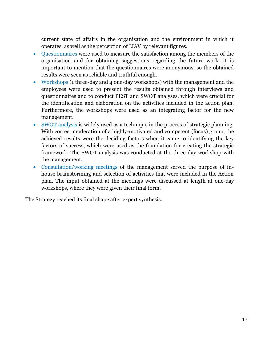current state of affairs in the organisation and the environment in which it operates, as well as the perception of IJAV by relevant figures.

- Questionnaires were used to measure the satisfaction among the members of the organisation and for obtaining suggestions regarding the future work. It is important to mention that the questionnaires were anonymous, so the obtained results were seen as reliable and truthful enough.
- Workshops (1 three-day and 4 one-day workshops) with the management and the employees were used to present the results obtained through interviews and questionnaires and to conduct PEST and SWOT analyses, which were crucial for the identification and elaboration on the activities included in the action plan. Furthermore, the workshops were used as an integrating factor for the new management.
- SWOT analysis is widely used as a technique in the process of strategic planning. With correct moderation of a highly-motivated and competent (focus) group, the achieved results were the deciding factors when it came to identifying the key factors of success, which were used as the foundation for creating the strategic framework. The SWOT analysis was conducted at the three-day workshop with the management.
- Consultation/working meetings of the management served the purpose of inhouse brainstorming and selection of activities that were included in the Action plan. The input obtained at the meetings were discussed at length at one-day workshops, where they were given their final form.

The Strategy reached its final shape after expert synthesis.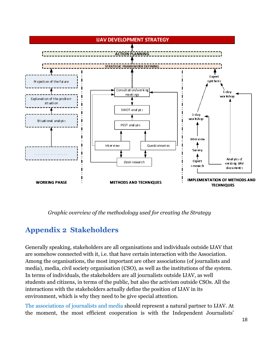

*Graphic overview of the methodology used for creating the Strategy*

# **Appendix 2 Stakeholders**

Generally speaking, stakeholders are all organisations and individuals outside IJAV that are somehow connected with it, i.e. that have certain interaction with the Association. Among the organisations, the most important are other associations (of journalists and media), media, civil society organisation (CSO), as well as the institutions of the system. In terms of individuals, the stakeholders are all journalists outside IJAV, as well students and citizens, in terms of the public, but also the activism outside CSOs. All the interactions with the stakeholders actually define the position of IJAV in its environment, which is why they need to be give special attention.

The associations of journalists and media should represent a natural partner to IJAV. At the moment, the most efficient cooperation is with the Independent Journalists'